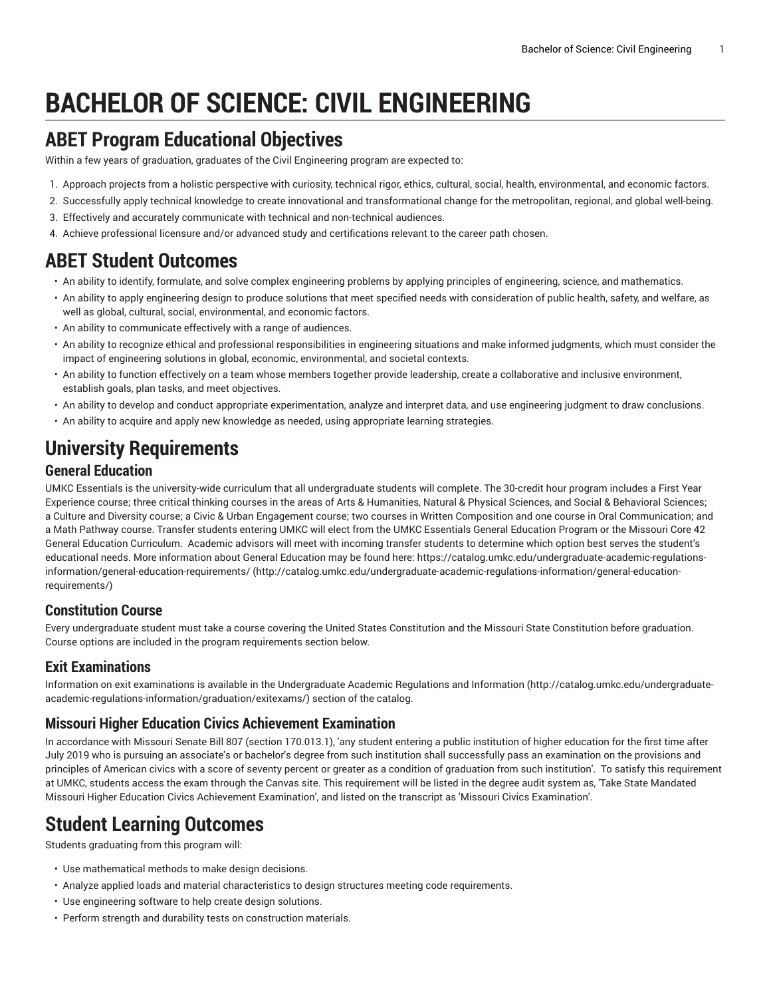# **BACHELOR OF SCIENCE: CIVIL ENGINEERING**

### **ABET Program Educational Objectives**

Within a few years of graduation, graduates of the Civil Engineering program are expected to:

- 1. Approach projects from a holistic perspective with curiosity, technical rigor, ethics, cultural, social, health, environmental, and economic factors.
- 2. Successfully apply technical knowledge to create innovational and transformational change for the metropolitan, regional, and global well-being.
- 3. Effectively and accurately communicate with technical and non-technical audiences.
- 4. Achieve professional licensure and/or advanced study and certifications relevant to the career path chosen.

### **ABET Student Outcomes**

- An ability to identify, formulate, and solve complex engineering problems by applying principles of engineering, science, and mathematics.
- An ability to apply engineering design to produce solutions that meet specified needs with consideration of public health, safety, and welfare, as well as global, cultural, social, environmental, and economic factors.
- An ability to communicate effectively with a range of audiences.
- An ability to recognize ethical and professional responsibilities in engineering situations and make informed judgments, which must consider the impact of engineering solutions in global, economic, environmental, and societal contexts.
- An ability to function effectively on a team whose members together provide leadership, create a collaborative and inclusive environment, establish goals, plan tasks, and meet objectives.
- An ability to develop and conduct appropriate experimentation, analyze and interpret data, and use engineering judgment to draw conclusions.
- An ability to acquire and apply new knowledge as needed, using appropriate learning strategies.

# **University Requirements**

#### **General Education**

UMKC Essentials is the university-wide curriculum that all undergraduate students will complete. The 30-credit hour program includes a First Year Experience course; three critical thinking courses in the areas of Arts & Humanities, Natural & Physical Sciences, and Social & Behavioral Sciences; a Culture and Diversity course; a Civic & Urban Engagement course; two courses in Written Composition and one course in Oral Communication; and a Math Pathway course. Transfer students entering UMKC will elect from the UMKC Essentials General Education Program or the Missouri Core 42 General Education Curriculum. Academic advisors will meet with incoming transfer students to determine which option best serves the student's educational needs. More information about General Education may be found here: [https://catalog.umkc.edu/undergraduate-academic-regulations](http://catalog.umkc.edu/undergraduate-academic-regulations-information/general-education-requirements/)[information/general-education-requirements/](http://catalog.umkc.edu/undergraduate-academic-regulations-information/general-education-requirements/) ([http://catalog.umkc.edu/undergraduate-academic-regulations-information/general-education](http://catalog.umkc.edu/undergraduate-academic-regulations-information/general-education-requirements/)[requirements/\)](http://catalog.umkc.edu/undergraduate-academic-regulations-information/general-education-requirements/)

### **Constitution Course**

Every undergraduate student must take a course covering the United States Constitution and the Missouri State Constitution before graduation. Course options are included in the program requirements section below.

#### **Exit Examinations**

Information on exit examinations is available in the [Undergraduate](http://catalog.umkc.edu/undergraduate-academic-regulations-information/graduation/exitexams/) Academic Regulations and Information [\(http://catalog.umkc.edu/undergraduate](http://catalog.umkc.edu/undergraduate-academic-regulations-information/graduation/exitexams/)[academic-regulations-information/graduation/exitexams/](http://catalog.umkc.edu/undergraduate-academic-regulations-information/graduation/exitexams/)) section of the catalog.

#### **Missouri Higher Education Civics Achievement Examination**

In accordance with Missouri Senate Bill 807 (section 170.013.1), 'any student entering a public institution of higher education for the first time after July 2019 who is pursuing an associate's or bachelor's degree from such institution shall successfully pass an examination on the provisions and principles of American civics with a score of seventy percent or greater as a condition of graduation from such institution'. To satisfy this requirement at UMKC, students access the exam through the Canvas site. This requirement will be listed in the degree audit system as, 'Take State Mandated Missouri Higher Education Civics Achievement Examination', and listed on the transcript as 'Missouri Civics Examination'.

## **Student Learning Outcomes**

Students graduating from this program will:

- Use mathematical methods to make design decisions.
- Analyze applied loads and material characteristics to design structures meeting code requirements.
- Use engineering software to help create design solutions.
- Perform strength and durability tests on construction materials.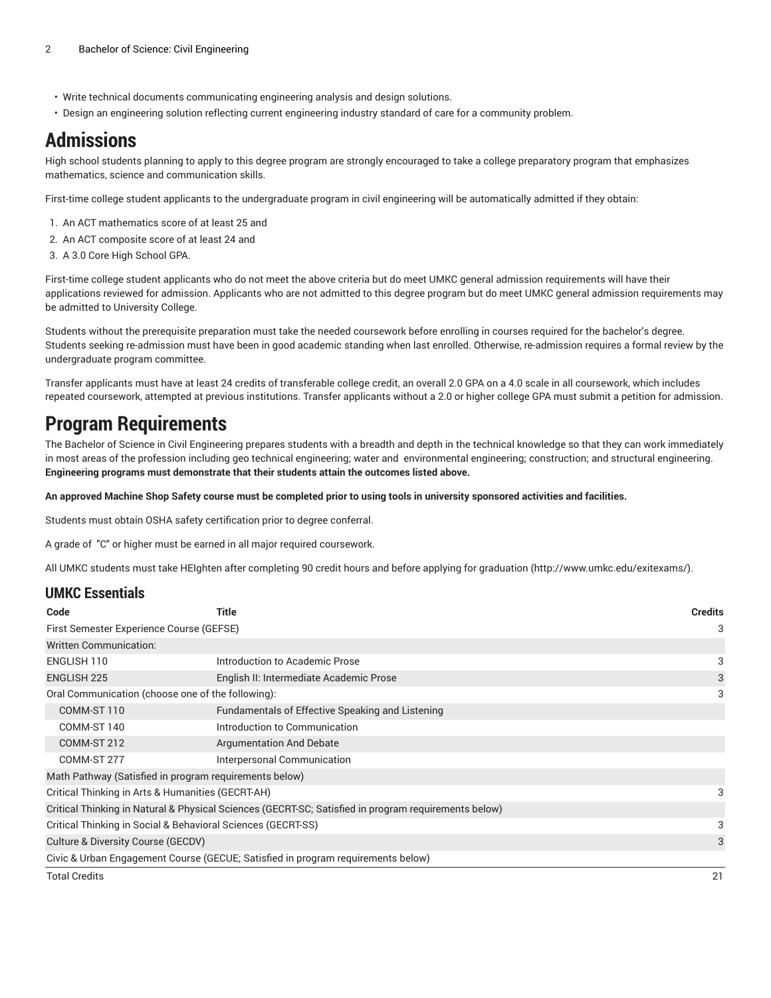- Write technical documents communicating engineering analysis and design solutions.
- Design an engineering solution reflecting current engineering industry standard of care for a community problem.

### **Admissions**

High school students planning to apply to this degree program are strongly encouraged to take a college preparatory program that emphasizes mathematics, science and communication skills.

First-time college student applicants to the undergraduate program in civil engineering will be automatically admitted if they obtain:

- 1. An ACT mathematics score of at least 25 and
- 2. An ACT composite score of at least 24 and
- 3. A 3.0 Core High School GPA.

First-time college student applicants who do not meet the above criteria but do meet UMKC general admission requirements will have their applications reviewed for admission. Applicants who are not admitted to this degree program but do meet UMKC general admission requirements may be admitted to University College.

Students without the prerequisite preparation must take the needed coursework before enrolling in courses required for the bachelor's degree. Students seeking re-admission must have been in good academic standing when last enrolled. Otherwise, re-admission requires a formal review by the undergraduate program committee.

Transfer applicants must have at least 24 credits of transferable college credit, an overall 2.0 GPA on a 4.0 scale in all coursework, which includes repeated coursework, attempted at previous institutions. Transfer applicants without a 2.0 or higher college GPA must submit a petition for admission.

### **Program Requirements**

The Bachelor of Science in Civil Engineering prepares students with a breadth and depth in the technical knowledge so that they can work immediately in most areas of the profession including geo technical engineering; water and environmental engineering; construction; and structural engineering. **Engineering programs must demonstrate that their students attain the outcomes listed above.**

#### An approved Machine Shop Safety course must be completed prior to using tools in university sponsored activities and facilities.

Students must obtain OSHA safety certification prior to degree conferral.

A grade of "C" or higher must be earned in all major required coursework.

All UMKC students must take HEIghten after completing 90 credit hours and before applying for graduation [\(http://www.umkc.edu/exitexams/](http://www.umkc.edu/exitexams/)).

#### **UMKC Essentials**

| Code                                                         | Title                                                                                                | <b>Credits</b> |  |
|--------------------------------------------------------------|------------------------------------------------------------------------------------------------------|----------------|--|
| First Semester Experience Course (GEFSE)                     |                                                                                                      |                |  |
| <b>Written Communication:</b>                                |                                                                                                      |                |  |
| ENGLISH 110                                                  | Introduction to Academic Prose                                                                       | 3              |  |
| <b>ENGLISH 225</b>                                           | English II: Intermediate Academic Prose                                                              | 3              |  |
| Oral Communication (choose one of the following):            |                                                                                                      |                |  |
| COMM-ST 110                                                  | Fundamentals of Effective Speaking and Listening                                                     |                |  |
| COMM-ST 140                                                  | Introduction to Communication                                                                        |                |  |
| COMM-ST 212                                                  | <b>Argumentation And Debate</b>                                                                      |                |  |
| Interpersonal Communication<br>COMM-ST 277                   |                                                                                                      |                |  |
| Math Pathway (Satisfied in program requirements below)       |                                                                                                      |                |  |
| Critical Thinking in Arts & Humanities (GECRT-AH)            |                                                                                                      |                |  |
|                                                              | Critical Thinking in Natural & Physical Sciences (GECRT-SC; Satisfied in program requirements below) |                |  |
| Critical Thinking in Social & Behavioral Sciences (GECRT-SS) |                                                                                                      |                |  |
| Culture & Diversity Course (GECDV)                           |                                                                                                      |                |  |
|                                                              | Civic & Urban Engagement Course (GECUE; Satisfied in program requirements below)                     |                |  |
| <b>Total Credits</b>                                         |                                                                                                      | 21             |  |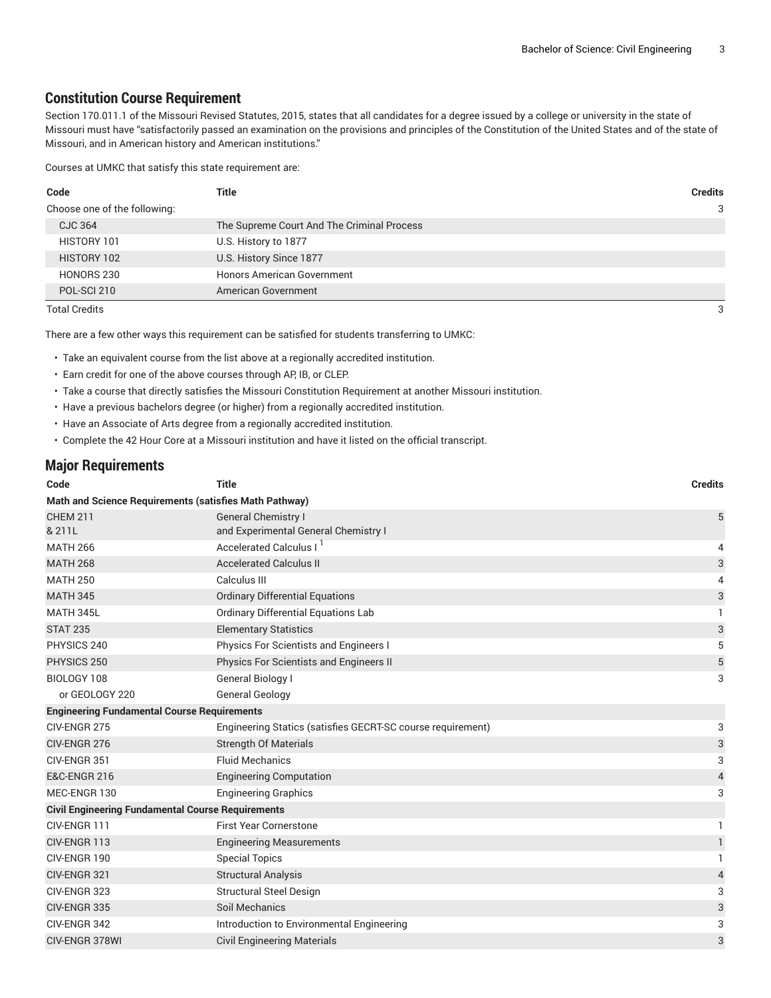#### **Constitution Course Requirement**

Section 170.011.1 of the Missouri Revised Statutes, 2015, states that all candidates for a degree issued by a college or university in the state of Missouri must have "satisfactorily passed an examination on the provisions and principles of the Constitution of the United States and of the state of Missouri, and in American history and American institutions."

Courses at UMKC that satisfy this state requirement are:

| Code                         | Title                                      | <b>Credits</b> |
|------------------------------|--------------------------------------------|----------------|
| Choose one of the following: |                                            | 3              |
| CJC 364                      | The Supreme Court And The Criminal Process |                |
| HISTORY 101                  | U.S. History to 1877                       |                |
| HISTORY 102                  | U.S. History Since 1877                    |                |
| HONORS 230                   | <b>Honors American Government</b>          |                |
| POL-SCI 210                  | American Government                        |                |

Total Credits 3

There are a few other ways this requirement can be satisfied for students transferring to UMKC:

- Take an equivalent course from the list above at a regionally accredited institution.
- Earn credit for one of the above courses through AP, IB, or CLEP.
- Take a course that directly satisfies the Missouri Constitution Requirement at another Missouri institution.
- Have a previous bachelors degree (or higher) from a regionally accredited institution.
- Have an Associate of Arts degree from a regionally accredited institution.
- Complete the 42 Hour Core at a Missouri institution and have it listed on the official transcript.

#### **Major Requirements**

| Code                                                     | <b>Title</b>                                                | <b>Credits</b> |  |  |
|----------------------------------------------------------|-------------------------------------------------------------|----------------|--|--|
| Math and Science Requirements (satisfies Math Pathway)   |                                                             |                |  |  |
| <b>CHEM 211</b>                                          | <b>General Chemistry I</b>                                  | 5              |  |  |
| & 211L                                                   | and Experimental General Chemistry I                        |                |  |  |
| <b>MATH 266</b>                                          | Accelerated Calculus I                                      | 4              |  |  |
| <b>MATH 268</b>                                          | <b>Accelerated Calculus II</b>                              | 3              |  |  |
| <b>MATH 250</b>                                          | Calculus III                                                | 4              |  |  |
| <b>MATH 345</b>                                          | <b>Ordinary Differential Equations</b>                      | 3              |  |  |
| MATH 345L                                                | <b>Ordinary Differential Equations Lab</b>                  | 1.             |  |  |
| <b>STAT 235</b>                                          | <b>Elementary Statistics</b>                                | 3              |  |  |
| PHYSICS 240                                              | Physics For Scientists and Engineers I                      | 5              |  |  |
| PHYSICS 250                                              | Physics For Scientists and Engineers II                     | 5              |  |  |
| BIOLOGY 108                                              | General Biology I                                           | 3              |  |  |
| or GEOLOGY 220                                           | <b>General Geology</b>                                      |                |  |  |
| <b>Engineering Fundamental Course Requirements</b>       |                                                             |                |  |  |
| CIV-ENGR 275                                             | Engineering Statics (satisfies GECRT-SC course requirement) | 3              |  |  |
| CIV-ENGR 276                                             | <b>Strength Of Materials</b>                                | 3              |  |  |
| CIV-ENGR 351                                             | <b>Fluid Mechanics</b>                                      | 3              |  |  |
| <b>E&amp;C-ENGR 216</b>                                  | <b>Engineering Computation</b>                              | 4              |  |  |
| MEC-ENGR 130                                             | <b>Engineering Graphics</b>                                 | 3              |  |  |
| <b>Civil Engineering Fundamental Course Requirements</b> |                                                             |                |  |  |
| CIV-ENGR 111                                             | <b>First Year Cornerstone</b>                               | 1              |  |  |
| CIV-ENGR 113                                             | <b>Engineering Measurements</b>                             | $\mathbf{1}$   |  |  |
| CIV-ENGR 190                                             | <b>Special Topics</b>                                       | 1              |  |  |
| CIV-ENGR 321                                             | <b>Structural Analysis</b>                                  | 4              |  |  |
| CIV-ENGR 323                                             | <b>Structural Steel Design</b>                              | 3              |  |  |
| CIV-ENGR 335                                             | Soil Mechanics                                              | 3              |  |  |
| CIV-ENGR 342                                             | Introduction to Environmental Engineering                   | 3              |  |  |
| <b>CIV-ENGR 378WI</b>                                    | <b>Civil Engineering Materials</b>                          | 3              |  |  |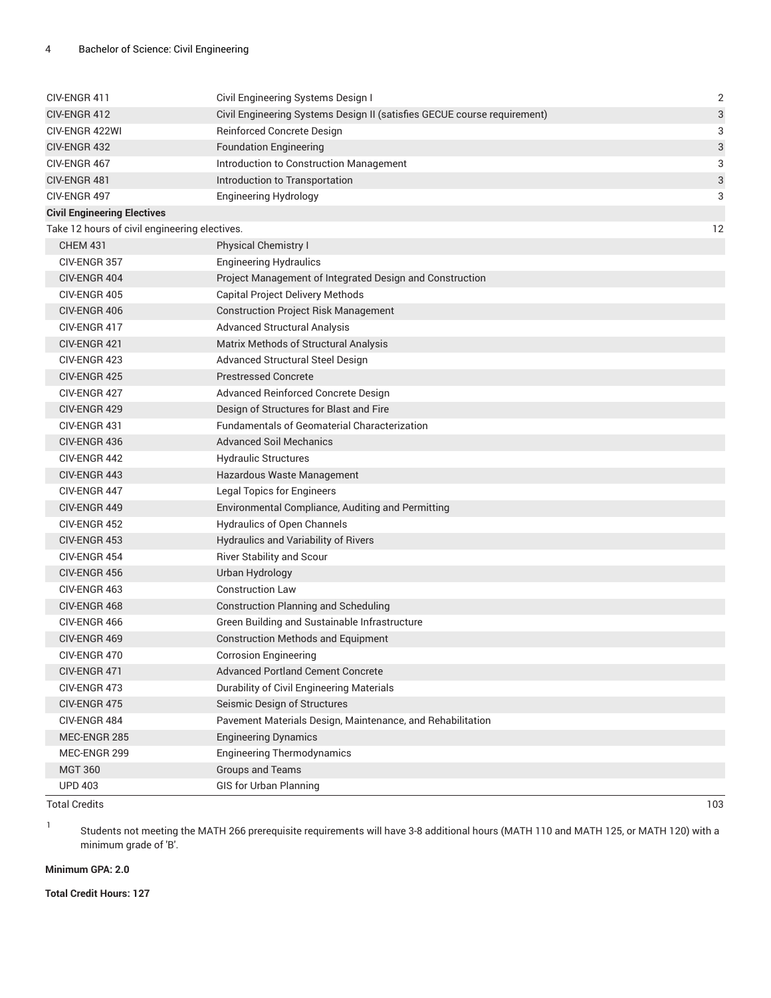| CIV-ENGR 411                                  | Civil Engineering Systems Design I                                       | $\sqrt{2}$ |
|-----------------------------------------------|--------------------------------------------------------------------------|------------|
| CIV-ENGR 412                                  | Civil Engineering Systems Design II (satisfies GECUE course requirement) | 3          |
| CIV-ENGR 422WI                                | Reinforced Concrete Design                                               | 3          |
| CIV-ENGR 432                                  | <b>Foundation Engineering</b>                                            | 3          |
| CIV-ENGR 467                                  | Introduction to Construction Management                                  | 3          |
| CIV-ENGR 481                                  | Introduction to Transportation                                           | 3          |
| CIV-ENGR 497                                  | <b>Engineering Hydrology</b>                                             | 3          |
| <b>Civil Engineering Electives</b>            |                                                                          |            |
| Take 12 hours of civil engineering electives. |                                                                          | 12         |
| <b>CHEM 431</b>                               | Physical Chemistry I                                                     |            |
| CIV-ENGR 357                                  | <b>Engineering Hydraulics</b>                                            |            |
| CIV-ENGR 404                                  | Project Management of Integrated Design and Construction                 |            |
| CIV-ENGR 405                                  | Capital Project Delivery Methods                                         |            |
| CIV-ENGR 406                                  | <b>Construction Project Risk Management</b>                              |            |
| CIV-ENGR 417                                  | <b>Advanced Structural Analysis</b>                                      |            |
| CIV-ENGR 421                                  | Matrix Methods of Structural Analysis                                    |            |
| CIV-ENGR 423                                  | <b>Advanced Structural Steel Design</b>                                  |            |
| CIV-ENGR 425                                  | <b>Prestressed Concrete</b>                                              |            |
| CIV-ENGR 427                                  | Advanced Reinforced Concrete Design                                      |            |
| CIV-ENGR 429                                  | Design of Structures for Blast and Fire                                  |            |
| CIV-ENGR 431                                  | <b>Fundamentals of Geomaterial Characterization</b>                      |            |
| CIV-ENGR 436                                  | <b>Advanced Soil Mechanics</b>                                           |            |
| CIV-ENGR 442                                  | <b>Hydraulic Structures</b>                                              |            |
| CIV-ENGR 443                                  | Hazardous Waste Management                                               |            |
| CIV-ENGR 447                                  | <b>Legal Topics for Engineers</b>                                        |            |
| CIV-ENGR 449                                  | Environmental Compliance, Auditing and Permitting                        |            |
| CIV-ENGR 452                                  | Hydraulics of Open Channels                                              |            |
| CIV-ENGR 453                                  | Hydraulics and Variability of Rivers                                     |            |
| CIV-ENGR 454                                  | <b>River Stability and Scour</b>                                         |            |
| CIV-ENGR 456                                  | Urban Hydrology                                                          |            |
| CIV-ENGR 463                                  | <b>Construction Law</b>                                                  |            |
| CIV-ENGR 468                                  | <b>Construction Planning and Scheduling</b>                              |            |
| CIV-ENGR 466                                  | Green Building and Sustainable Infrastructure                            |            |
| CIV-ENGR 469                                  | <b>Construction Methods and Equipment</b>                                |            |
| CIV-ENGR 470                                  | <b>Corrosion Engineering</b>                                             |            |
| CIV-ENGR 471                                  | <b>Advanced Portland Cement Concrete</b>                                 |            |
| CIV-ENGR 473                                  | Durability of Civil Engineering Materials                                |            |
| CIV-ENGR 475                                  | Seismic Design of Structures                                             |            |
| CIV-ENGR 484                                  | Pavement Materials Design, Maintenance, and Rehabilitation               |            |
| MEC-ENGR 285                                  | <b>Engineering Dynamics</b>                                              |            |
| MEC-ENGR 299                                  | <b>Engineering Thermodynamics</b>                                        |            |
| <b>MGT 360</b>                                | <b>Groups and Teams</b>                                                  |            |
| <b>UPD 403</b>                                | <b>GIS for Urban Planning</b>                                            |            |

Total Credits 103

1

Students not meeting the MATH 266 prerequisite requirements will have 3-8 additional hours (MATH 110 and MATH 125, or MATH 120) with a minimum grade of 'B'.

#### **Minimum GPA: 2.0**

**Total Credit Hours: 127**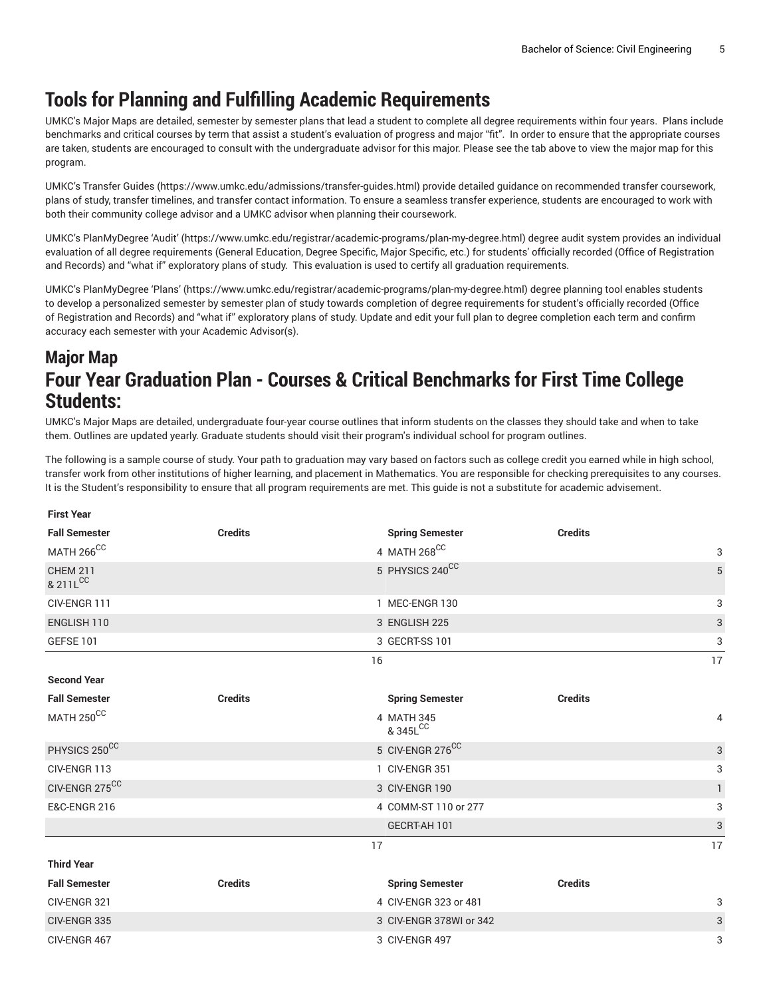### **Tools for Planning and Fulfilling Academic Requirements**

UMKC's Major Maps are detailed, semester by semester plans that lead a student to complete all degree requirements within four years. Plans include benchmarks and critical courses by term that assist a student's evaluation of progress and major "fit". In order to ensure that the appropriate courses are taken, students are encouraged to consult with the undergraduate advisor for this major. Please see the tab above to view the major map for this program.

UMKC's [Transfer](https://www.umkc.edu/admissions/transfer-guides.html) Guides [\(https://www.umkc.edu/admissions/transfer-guides.html](https://www.umkc.edu/admissions/transfer-guides.html)) provide detailed guidance on recommended transfer coursework, plans of study, transfer timelines, and transfer contact information. To ensure a seamless transfer experience, students are encouraged to work with both their community college advisor and a UMKC advisor when planning their coursework.

UMKC's [PlanMyDegree](https://www.umkc.edu/registrar/academic-programs/plan-my-degree.html) 'Audit' ([https://www.umkc.edu/registrar/academic-programs/plan-my-degree.html\)](https://www.umkc.edu/registrar/academic-programs/plan-my-degree.html) degree audit system provides an individual evaluation of all degree requirements (General Education, Degree Specific, Major Specific, etc.) for students' officially recorded (Office of Registration and Records) and "what if" exploratory plans of study. This evaluation is used to certify all graduation requirements.

UMKC's [PlanMyDegree](https://www.umkc.edu/registrar/academic-programs/plan-my-degree.html) 'Plans' [\(https://www.umkc.edu/registrar/academic-programs/plan-my-degree.html\)](https://www.umkc.edu/registrar/academic-programs/plan-my-degree.html) degree planning tool enables students to develop a personalized semester by semester plan of study towards completion of degree requirements for student's officially recorded (Office of Registration and Records) and "what if" exploratory plans of study. Update and edit your full plan to degree completion each term and confirm accuracy each semester with your Academic Advisor(s).

### **Major Map Four Year Graduation Plan - Courses & Critical Benchmarks for First Time College Students:**

UMKC's Major Maps are detailed, undergraduate four-year course outlines that inform students on the classes they should take and when to take them. Outlines are updated yearly. Graduate students should visit their program's individual school for program outlines.

The following is a sample course of study. Your path to graduation may vary based on factors such as college credit you earned while in high school, transfer work from other institutions of higher learning, and placement in Mathematics. You are responsible for checking prerequisites to any courses. It is the Student's responsibility to ensure that all program requirements are met. This guide is not a substitute for academic advisement.

| <b>First Year</b>           |                |                         |                |              |
|-----------------------------|----------------|-------------------------|----------------|--------------|
| <b>Fall Semester</b>        | <b>Credits</b> | <b>Spring Semester</b>  | <b>Credits</b> |              |
| MATH $266^{\rm CC}$         |                | $4$ MATH $268^{\rm CC}$ |                | 3            |
| <b>CHEM 211</b><br>& 211LCC |                | 5 PHYSICS 240CC         |                | 5            |
| CIV-ENGR 111                |                | 1 MEC-ENGR 130          |                | 3            |
| ENGLISH 110                 |                | 3 ENGLISH 225           |                | $\sqrt{3}$   |
| <b>GEFSE 101</b>            |                | 3 GECRT-SS 101          |                | 3            |
|                             |                | 16                      |                | 17           |
| <b>Second Year</b>          |                |                         |                |              |
| <b>Fall Semester</b>        | <b>Credits</b> | <b>Spring Semester</b>  | <b>Credits</b> |              |
| MATH $250^{\rm CC}$         |                | 4 MATH 345<br>& 345LCC  |                | 4            |
| PHYSICS 250CC               |                | 5 CIV-ENGR 276CC        |                | $\sqrt{3}$   |
| CIV-ENGR 113                |                | 1 CIV-ENGR 351          |                | 3            |
| CIV-ENGR 275CC              |                | 3 CIV-ENGR 190          |                | $\mathbf{1}$ |
| <b>E&amp;C-ENGR 216</b>     |                | 4 COMM-ST 110 or 277    |                | 3            |
|                             |                | GECRT-AH 101            |                | $\sqrt{3}$   |
|                             |                | 17                      |                | 17           |
| <b>Third Year</b>           |                |                         |                |              |
| <b>Fall Semester</b>        | <b>Credits</b> | <b>Spring Semester</b>  | <b>Credits</b> |              |
| CIV-ENGR 321                |                | 4 CIV-ENGR 323 or 481   |                | 3            |
| CIV-ENGR 335                |                | 3 CIV-ENGR 378WI or 342 |                | $\sqrt{3}$   |
| CIV-ENGR 467                |                | 3 CIV-ENGR 497          |                | 3            |